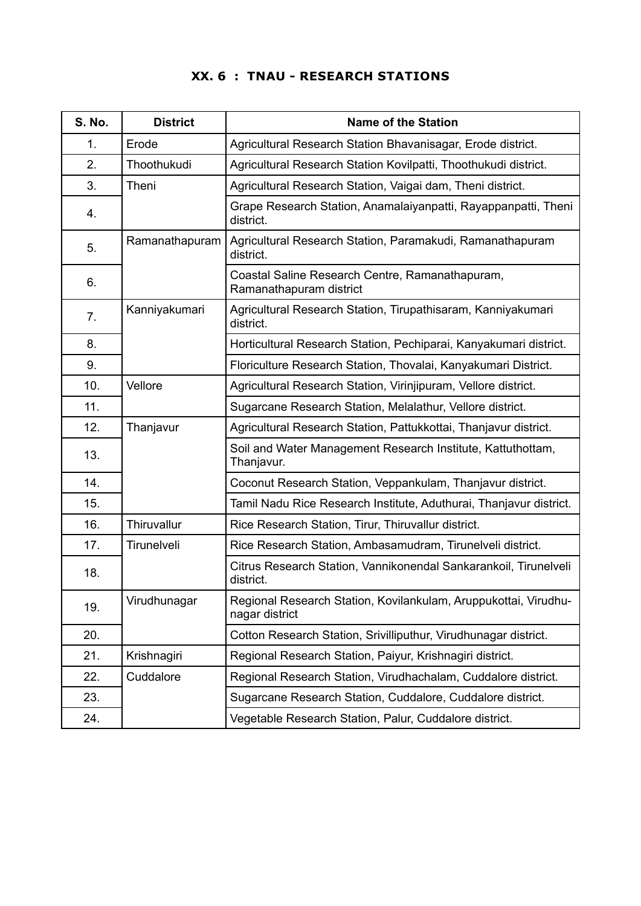## **XX. 6 : TNAU - RESEARCH STATIONS**

| <b>S. No.</b> | <b>District</b> | <b>Name of the Station</b>                                                        |
|---------------|-----------------|-----------------------------------------------------------------------------------|
| 1.            | Erode           | Agricultural Research Station Bhavanisagar, Erode district.                       |
| 2.            | Thoothukudi     | Agricultural Research Station Kovilpatti, Thoothukudi district.                   |
| 3.            | Theni           | Agricultural Research Station, Vaigai dam, Theni district.                        |
| 4.            |                 | Grape Research Station, Anamalaiyanpatti, Rayappanpatti, Theni<br>district.       |
| 5.            | Ramanathapuram  | Agricultural Research Station, Paramakudi, Ramanathapuram<br>district.            |
| 6.            |                 | Coastal Saline Research Centre, Ramanathapuram,<br>Ramanathapuram district        |
| 7.            | Kanniyakumari   | Agricultural Research Station, Tirupathisaram, Kanniyakumari<br>district.         |
| 8.            |                 | Horticultural Research Station, Pechiparai, Kanyakumari district.                 |
| 9.            |                 | Floriculture Research Station, Thovalai, Kanyakumari District.                    |
| 10.           | Vellore         | Agricultural Research Station, Virinjipuram, Vellore district.                    |
| 11.           |                 | Sugarcane Research Station, Melalathur, Vellore district.                         |
| 12.           | Thanjavur       | Agricultural Research Station, Pattukkottai, Thanjavur district.                  |
| 13.           |                 | Soil and Water Management Research Institute, Kattuthottam,<br>Thanjavur.         |
| 14.           |                 | Coconut Research Station, Veppankulam, Thanjavur district.                        |
| 15.           |                 | Tamil Nadu Rice Research Institute, Aduthurai, Thanjavur district.                |
| 16.           | Thiruvallur     | Rice Research Station, Tirur, Thiruvallur district.                               |
| 17.           | Tirunelveli     | Rice Research Station, Ambasamudram, Tirunelveli district.                        |
| 18.           |                 | Citrus Research Station, Vannikonendal Sankarankoil, Tirunelveli<br>district.     |
| 19.           | Virudhunagar    | Regional Research Station, Kovilankulam, Aruppukottai, Virudhu-<br>nagar district |
| 20.           |                 | Cotton Research Station, Srivilliputhur, Virudhunagar district.                   |
| 21.           | Krishnagiri     | Regional Research Station, Paiyur, Krishnagiri district.                          |
| 22.           | Cuddalore       | Regional Research Station, Virudhachalam, Cuddalore district.                     |
| 23.           |                 | Sugarcane Research Station, Cuddalore, Cuddalore district.                        |
| 24.           |                 | Vegetable Research Station, Palur, Cuddalore district.                            |